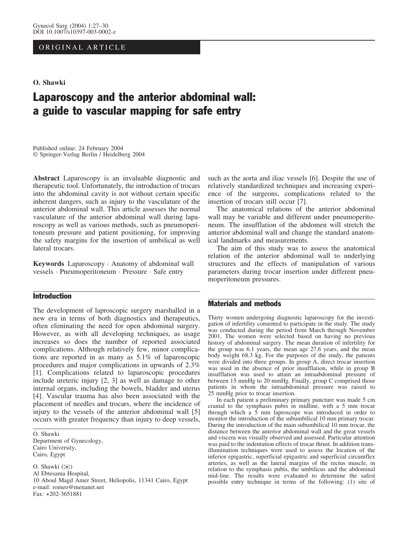## ORIGINAL ARTICLE

#### O. Shawki

# Laparoscopy and the anterior abdominal wall: a guide to vascular mapping for safe entry

Published online: 24 February 2004 Springer-Verlag Berlin / Heidelberg 2004

Abstract Laparoscopy is an invaluable diagnostic and therapeutic tool. Unfortunately, the introduction of trocars into the abdominal cavity is not without certain specific inherent dangers, such as injury to the vasculature of the anterior abdominal wall. This article assesses the normal vasculature of the anterior abdominal wall during laparoscopy as well as various methods, such as pneumoperitoneum pressure and patient positioning, for improving the safety margins for the insertion of umbilical as well lateral trocars.

Keywords Laparoscopy · Anatomy of abdominal wall vessels · Pneumoperitoneum · Pressure · Safe entry

## Introduction

The development of laproscopic surgery marshalled in a new era in terms of both diagnostics and therapeutics, often eliminating the need for open abdominal surgery. However, as with all developing techniques, as usage increases so does the number of reported associated complications. Although relatively few, minor complications are reported in as many as 5.1% of laparoscopic procedures and major complications in upwards of 2.3% [1]. Complications related to laparoscopic procedures include ureteric injury [2, 3] as well as damage to other internal organs, including the bowels, bladder and uterus [4]. Vascular trauma has also been associated with the placement of needles and trocars, where the incidence of injury to the vessels of the anterior abdominal wall [5] occurs with greater frequency than injury to deep vessels,

O. Shawki Department of Gynecology, Cairo University, Cairo, Egypt

O. Shawki  $(\mathbb{Z})$ Al Ebtesama Hospital, 10 Aboul Magd Amer Street, Heliopolis, 11341 Cairo, Egypt e-mail: romeo@menanet.net Fax: +202-3651881

such as the aorta and iliac vessels [6]. Despite the use of relatively standardized techniques and increasing experience of the surgeons, complications related to the insertion of trocars still occur [7].

The anatomical relations of the anterior abdominal wall may be variable and different under pneumoperitoneum. The insufflation of the abdomen will stretch the anterior abdominal wall and change the standard anatomical landmarks and measurements.

The aim of this study was to assess the anatomical relation of the anterior abdominal wall to underlying structures and the effects of manipulation of various parameters during trocar insertion under different pneumoperitoneum pressures.

### Materials and methods

Thirty women undergoing diagnostic laparoscopy for the investigation of infertility consented to participate in the study. The study was conducted during the period from March through November 2001. The women were selected based on having no previous history of abdominal surgery. The mean duration of infertility for the group was 6.1 years, the mean age 27.6 years, and the mean body weight 68.3 kg. For the purposes of the study, the patients were divided into three groups. In group A, direct trocar insertion was used in the absence of prior insufflation, while in group B insufflation was used to attain an intraabdominal pressure of between 15 mmHg to 20 mmHg. Finally, group C comprised those patients in whom the intraabdominal pressure was raised to 25 mmHg prior to trocar insertion.

In each patient a preliminary primary puncture was made 5 cm cranial to the symphasis pubis in midline, with a 5 mm trocar through which a 5 mm laproscope was introduced in order to monitor the introduction of the subumbilical 10 mm primary trocar. During the introduction of the main subumbilical 10 mm trocar, the distance between the anterior abdominal wall and the great vessels and viscera was visually observed and assessed. Particular attention was paid to the indentation effects of trocar thrust. In addition transillumination techniques were used to assess the location of the inferior epigastric, superficial epigastric and superficial circumflex arteries, as well as the lateral margins of the rectus muscle, in relation to the symphasis pubis, the umbilicus and the abdominal mid-line. The results were evaluated to determine the safest possible entry technique in terms of the following: (1) site of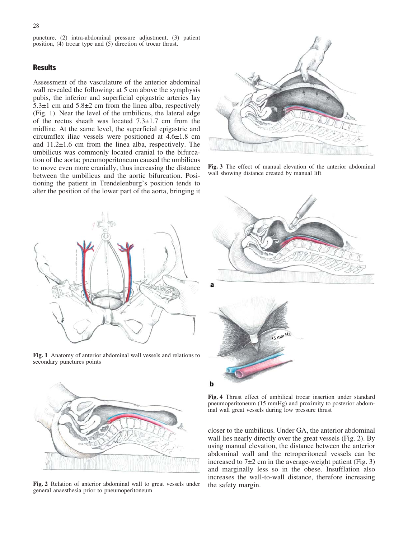puncture, (2) intra-abdominal pressure adjustment, (3) patient position, (4) trocar type and (5) direction of trocar thrust.

## **Results**

Assessment of the vasculature of the anterior abdominal wall revealed the following: at 5 cm above the symphysis pubis, the inferior and superficial epigastric arteries lay  $5.3\pm1$  cm and  $5.8\pm2$  cm from the linea alba, respectively (Fig. 1). Near the level of the umbilicus, the lateral edge of the rectus sheath was located  $7.3\pm1.7$  cm from the midline. At the same level, the superficial epigastric and circumflex iliac vessels were positioned at  $4.6\pm1.8$  cm and 11.2€1.6 cm from the linea alba, respectively. The umbilicus was commonly located cranial to the bifurcation of the aorta; pneumoperitoneum caused the umbilicus to move even more cranially, thus increasing the distance between the umbilicus and the aortic bifurcation. Positioning the patient in Trendelenburg's position tends to alter the position of the lower part of the aorta, bringing it



Fig. 3 The effect of manual elevation of the anterior abdominal wall showing distance created by manual lift



Fig. 1 Anatomy of anterior abdominal wall vessels and relations to secondary punctures points



Fig. 2 Relation of anterior abdominal wall to great vessels under general anaesthesia prior to pneumoperitoneum



Fig. 4 Thrust effect of umbilical trocar insertion under standard pneumoperitoneum (15 mmHg) and proximity to posterior abdominal wall great vessels during low pressure thrust

closer to the umbilicus. Under GA, the anterior abdominal wall lies nearly directly over the great vessels (Fig. 2). By using manual elevation, the distance between the anterior abdominal wall and the retroperitoneal vessels can be increased to  $7±2$  cm in the average-weight patient (Fig. 3) and marginally less so in the obese. Insufflation also increases the wall-to-wall distance, therefore increasing the safety margin.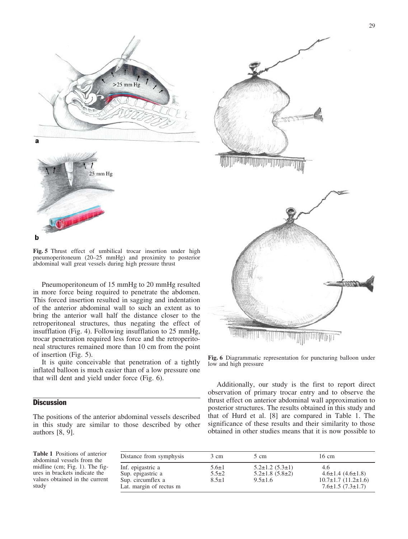



Fig. 5 Thrust effect of umbilical trocar insertion under high pneumoperitoneum (20–25 mmHg) and proximity to posterior abdominal wall great vessels during high pressure thrust

Pneumoperitoneum of 15 mmHg to 20 mmHg resulted in more force being required to penetrate the abdomen. This forced insertion resulted in sagging and indentation of the anterior abdominal wall to such an extent as to bring the anterior wall half the distance closer to the retroperitoneal structures, thus negating the effect of insufflation (Fig. 4). Following insufflation to 25 mmHg, trocar penetration required less force and the retroperitoneal structures remained more than 10 cm from the point of insertion (Fig. 5).

It is quite conceivable that penetration of a tightly inflated balloon is much easier than of a low pressure one that will dent and yield under force (Fig. 6).

## **Discussion**

The positions of the anterior abdominal vessels described in this study are similar to those described by other authors [8, 9].

Table 1 Positions of anterior abdominal vessels from the midline (cm; Fig. 1). The figures in brackets indicate the values obtained in the current study

| Distance from symphysis                                                                | 3 cm                                      | 5 cm                                                                         | 16 cm                                                                                              |
|----------------------------------------------------------------------------------------|-------------------------------------------|------------------------------------------------------------------------------|----------------------------------------------------------------------------------------------------|
| Inf. epigastric a<br>Sup. epigastric a<br>Sup. circumflex a<br>Lat. margin of rectus m | $5.6 \pm 1$<br>$5.5 \pm 2$<br>$8.5 \pm 1$ | $5.2 \pm 1.2$ $(5.3 \pm 1)$<br>$5.2 \pm 1.8$ (5.8 $\pm 2$ )<br>$9.5 \pm 1.6$ | 4.6<br>$4.6 \pm 1.4$ $(4.6 \pm 1.8)$<br>$10.7\pm1.7(11.2\pm1.6)$<br>$7.6 \pm 1.5$ (7.3 $\pm 1.7$ ) |



Fig. 6 Diagrammatic representation for puncturing balloon under low and high pressure

Additionally, our study is the first to report direct observation of primary trocar entry and to observe the thrust effect on anterior abdominal wall approximation to posterior structures. The results obtained in this study and that of Hurd et al. [8] are compared in Table 1. The significance of these results and their similarity to those obtained in other studies means that it is now possible to